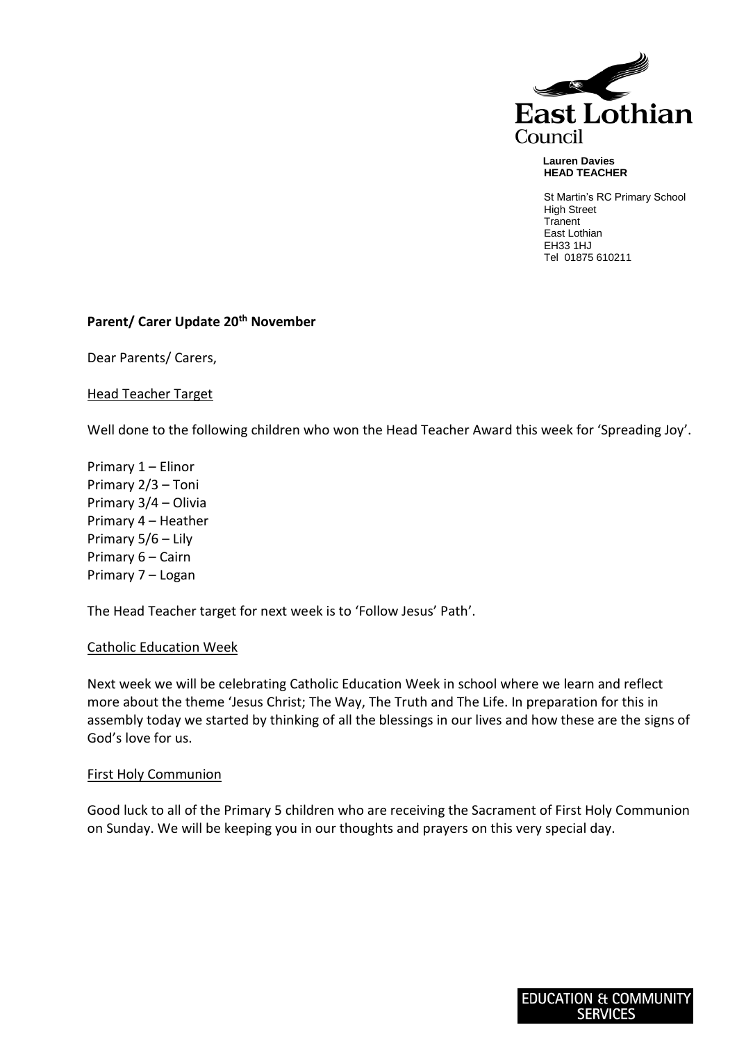

#### **Lauren Davies HEAD TEACHER**

St Martin's RC Primary School High Street **Tranent** East Lothian EH33 1HJ Tel 01875 610211

## **Parent/ Carer Update 20th November**

Dear Parents/ Carers,

## Head Teacher Target

Well done to the following children who won the Head Teacher Award this week for 'Spreading Joy'.

Primary 1 – Elinor Primary 2/3 – Toni Primary 3/4 – Olivia Primary 4 – Heather Primary 5/6 – Lily Primary 6 – Cairn Primary 7 – Logan

The Head Teacher target for next week is to 'Follow Jesus' Path'.

### Catholic Education Week

Next week we will be celebrating Catholic Education Week in school where we learn and reflect more about the theme 'Jesus Christ; The Way, The Truth and The Life. In preparation for this in assembly today we started by thinking of all the blessings in our lives and how these are the signs of God's love for us.

### First Holy Communion

Good luck to all of the Primary 5 children who are receiving the Sacrament of First Holy Communion on Sunday. We will be keeping you in our thoughts and prayers on this very special day.